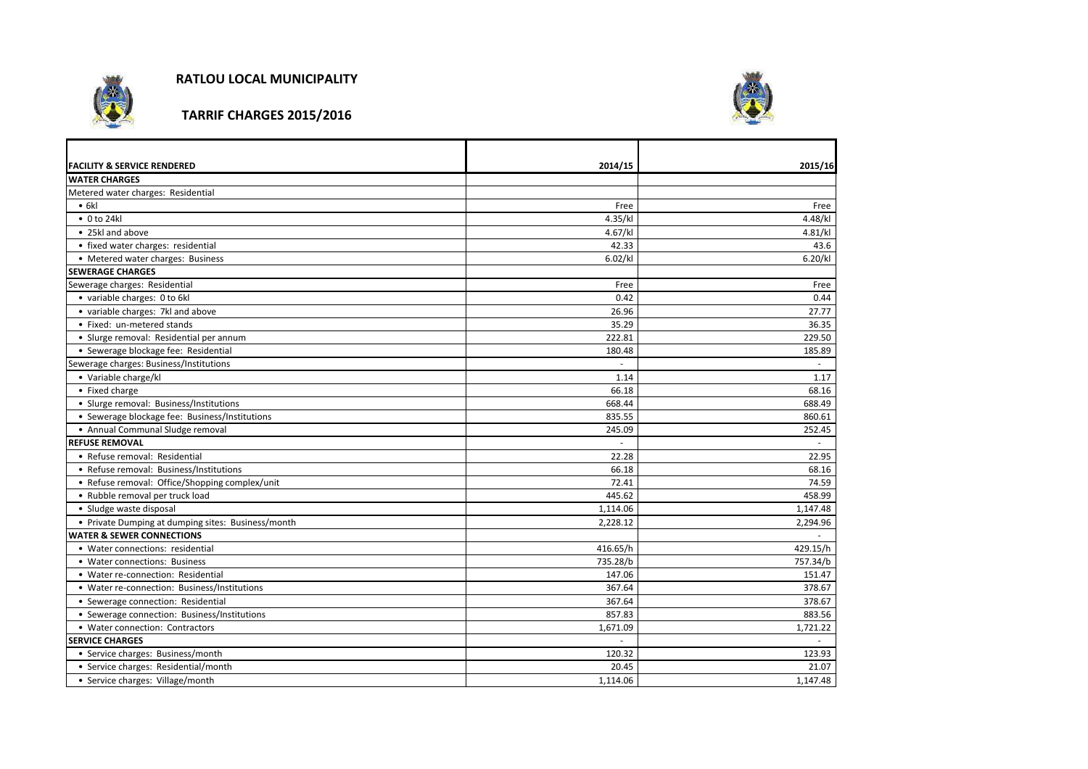

**RATLOU LOCAL MUNICIPALITY**

**TARRIF CHARGES 2015/2016**



| <b>FACILITY &amp; SERVICE RENDERED</b>             | 2014/15  | 2015/16  |
|----------------------------------------------------|----------|----------|
| <b>WATER CHARGES</b>                               |          |          |
| Metered water charges: Residential                 |          |          |
| • 6k                                               | Free     | Free     |
| $\bullet$ 0 to 24kl                                | 4.35/kl  | 4.48/kl  |
| • 25kl and above                                   | 4.67/kl  | 4.81/kl  |
| • fixed water charges: residential                 | 42.33    | 43.6     |
| • Metered water charges: Business                  | 6.02/kl  | 6.20/kl  |
| <b>SEWERAGE CHARGES</b>                            |          |          |
| Sewerage charges: Residential                      | Free     | Free     |
| • variable charges: 0 to 6kl                       | 0.42     | 0.44     |
| • variable charges: 7kl and above                  | 26.96    | 27.77    |
| • Fixed: un-metered stands                         | 35.29    | 36.35    |
| · Slurge removal: Residential per annum            | 222.81   | 229.50   |
| • Sewerage blockage fee: Residential               | 180.48   | 185.89   |
| Sewerage charges: Business/Institutions            |          | $\sim$   |
| • Variable charge/kl                               | 1.14     | 1.17     |
| • Fixed charge                                     | 66.18    | 68.16    |
| • Slurge removal: Business/Institutions            | 668.44   | 688.49   |
| • Sewerage blockage fee: Business/Institutions     | 835.55   | 860.61   |
| • Annual Communal Sludge removal                   | 245.09   | 252.45   |
| <b>REFUSE REMOVAL</b>                              |          |          |
| • Refuse removal: Residential                      | 22.28    | 22.95    |
| • Refuse removal: Business/Institutions            | 66.18    | 68.16    |
| • Refuse removal: Office/Shopping complex/unit     | 72.41    | 74.59    |
| • Rubble removal per truck load                    | 445.62   | 458.99   |
| • Sludge waste disposal                            | 1,114.06 | 1,147.48 |
| • Private Dumping at dumping sites: Business/month | 2,228.12 | 2,294.96 |
| <b>WATER &amp; SEWER CONNECTIONS</b>               |          | $\sim$   |
| • Water connections: residential                   | 416.65/h | 429.15/h |
| • Water connections: Business                      | 735.28/b | 757.34/b |
| • Water re-connection: Residential                 | 147.06   | 151.47   |
| • Water re-connection: Business/Institutions       | 367.64   | 378.67   |
| • Sewerage connection: Residential                 | 367.64   | 378.67   |
| • Sewerage connection: Business/Institutions       | 857.83   | 883.56   |
| • Water connection: Contractors                    | 1,671.09 | 1,721.22 |
| <b>SERVICE CHARGES</b>                             |          |          |
| • Service charges: Business/month                  | 120.32   | 123.93   |
| • Service charges: Residential/month               | 20.45    | 21.07    |
| • Service charges: Village/month                   | 1,114.06 | 1,147.48 |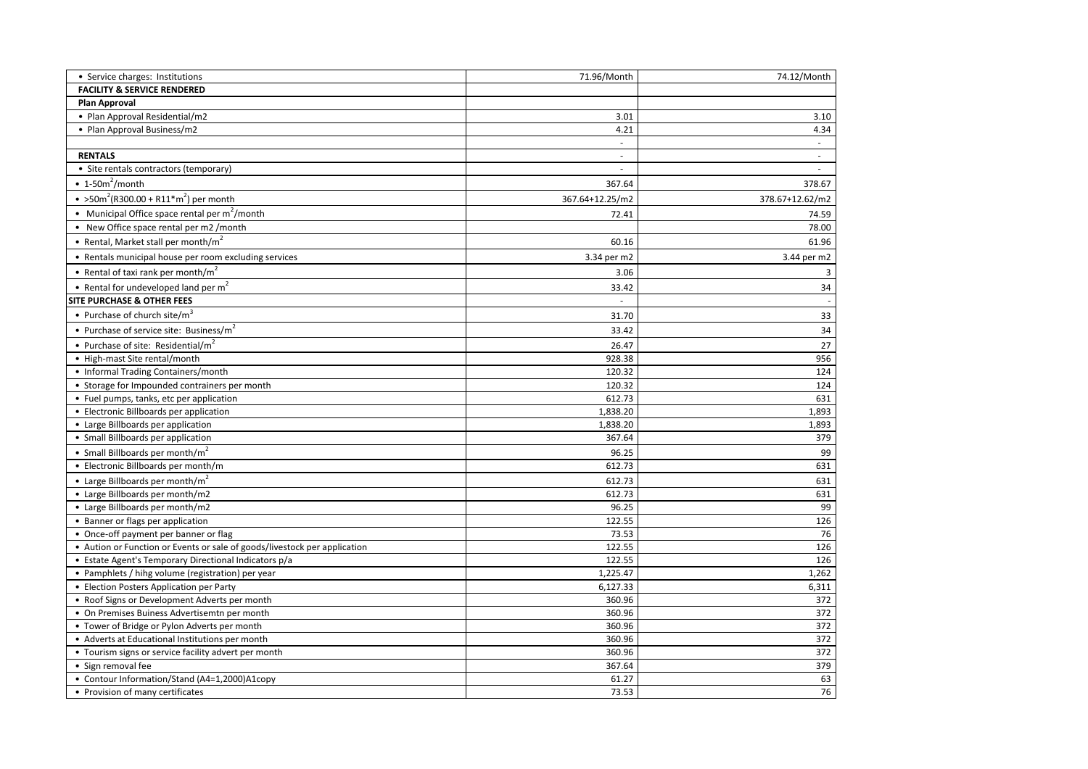| • Service charges: Institutions                                                      | 71.96/Month      | 74.12/Month     |
|--------------------------------------------------------------------------------------|------------------|-----------------|
| <b>FACILITY &amp; SERVICE RENDERED</b>                                               |                  |                 |
| Plan Approval                                                                        |                  |                 |
| • Plan Approval Residential/m2                                                       | 3.01             | 3.10            |
| • Plan Approval Business/m2                                                          | 4.21             | 4.34            |
|                                                                                      | $\sim$           |                 |
| <b>RENTALS</b>                                                                       | $\sim$           | $\sim$          |
| • Site rentals contractors (temporary)                                               | ×.               |                 |
| $\cdot$ 1-50m <sup>2</sup> /month                                                    | 367.64           | 378.67          |
| • > 50m <sup>2</sup> (R300.00 + R11 <sup>*m<sup>2</sup>) per month</sup>             | 367.64+12.25/m2  | 378.67+12.62/m2 |
| • Municipal Office space rental per $m^2$ /month                                     | 72.41            | 74.59           |
| • New Office space rental per m2 /month                                              |                  | 78.00           |
| • Rental, Market stall per month/ $m2$                                               | 60.16            | 61.96           |
| • Rentals municipal house per room excluding services                                | 3.34 per m2      | 3.44 per m2     |
| • Rental of taxi rank per month/m <sup>2</sup>                                       | 3.06             | 3               |
| • Rental for undeveloped land per $m2$                                               | 33.42            | 34              |
| <b>SITE PURCHASE &amp; OTHER FEES</b>                                                |                  | $\sim$          |
| • Purchase of church site/m <sup>3</sup>                                             | 31.70            | 33              |
|                                                                                      |                  |                 |
| • Purchase of service site: Business/m <sup>2</sup>                                  | 33.42            | 34              |
| • Purchase of site: Residential/ $m^2$                                               | 26.47            | 27              |
| • High-mast Site rental/month                                                        | 928.38           | 956             |
| • Informal Trading Containers/month<br>• Storage for Impounded contrainers per month | 120.32<br>120.32 | 124<br>124      |
| • Fuel pumps, tanks, etc per application                                             | 612.73           | 631             |
| • Electronic Billboards per application                                              | 1,838.20         | 1,893           |
| • Large Billboards per application                                                   | 1,838.20         | 1,893           |
| • Small Billboards per application                                                   | 367.64           | 379             |
| • Small Billboards per month/ $m^2$                                                  | 96.25            | 99              |
| • Electronic Billboards per month/m                                                  | 612.73           | 631             |
| • Large Billboards per month/m <sup>2</sup>                                          | 612.73           | 631             |
| • Large Billboards per month/m2                                                      | 612.73           | 631             |
| • Large Billboards per month/m2                                                      | 96.25            | 99              |
| • Banner or flags per application                                                    | 122.55           | 126             |
| • Once-off payment per banner or flag                                                | 73.53            | 76              |
| • Aution or Function or Events or sale of goods/livestock per application            | 122.55           | 126             |
| • Estate Agent's Temporary Directional Indicators p/a                                | 122.55           | 126             |
| • Pamphlets / hihg volume (registration) per year                                    | 1,225.47         | 1,262           |
| • Election Posters Application per Party                                             | 6,127.33         | 6,311           |
| • Roof Signs or Development Adverts per month                                        | 360.96           | 372             |
| • On Premises Buiness Advertisemtn per month                                         | 360.96           | 372             |
| • Tower of Bridge or Pylon Adverts per month                                         | 360.96           | 372             |
| • Adverts at Educational Institutions per month                                      | 360.96           | 372             |
| • Tourism signs or service facility advert per month                                 | 360.96           | 372             |
| • Sign removal fee                                                                   | 367.64           | 379             |
| • Contour Information/Stand (A4=1,2000)A1copy                                        | 61.27            | 63              |
| • Provision of many certificates                                                     | 73.53            | 76              |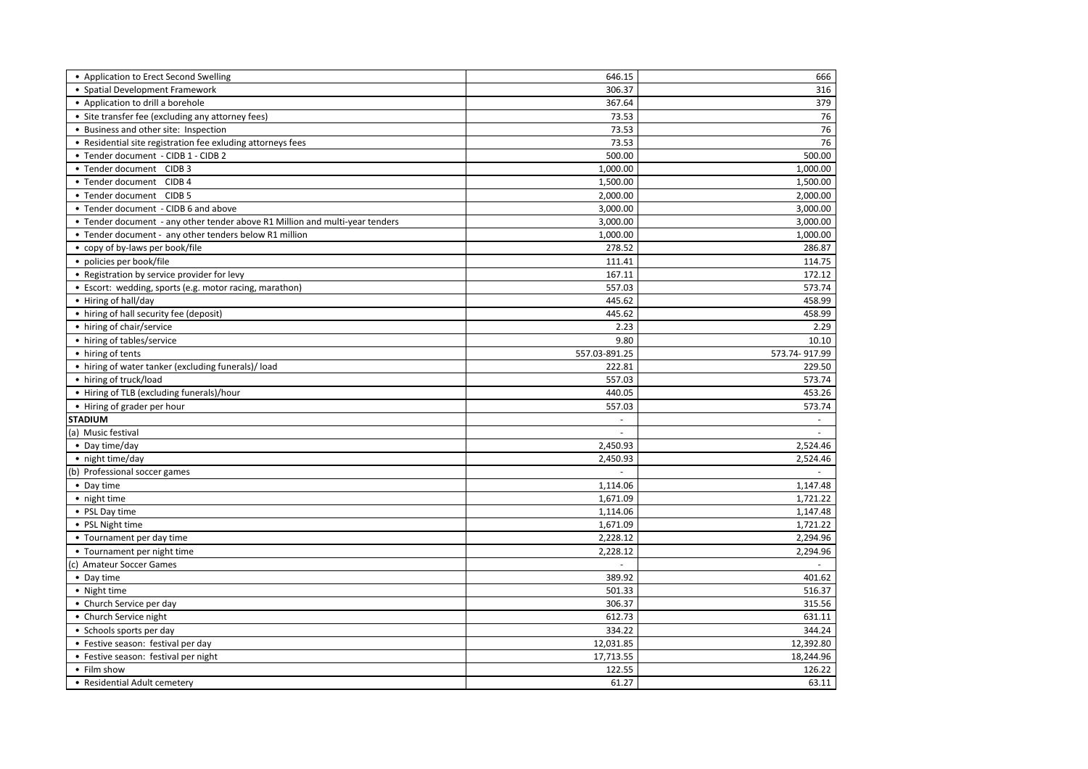| • Application to Erect Second Swelling                                       | 646.15        | 666           |
|------------------------------------------------------------------------------|---------------|---------------|
| • Spatial Development Framework                                              | 306.37        | 316           |
| • Application to drill a borehole                                            | 367.64        | 379           |
| • Site transfer fee (excluding any attorney fees)                            | 73.53         | 76            |
| • Business and other site: Inspection                                        | 73.53         | 76            |
| • Residential site registration fee exluding attorneys fees                  | 73.53         | 76            |
| • Tender document - CIDB 1 - CIDB 2                                          | 500.00        | 500.00        |
| • Tender document CIDB 3                                                     | 1,000.00      | 1,000.00      |
| • Tender document CIDB 4                                                     | 1,500.00      | 1,500.00      |
| • Tender document CIDB 5                                                     | 2,000.00      | 2,000.00      |
| • Tender document - CIDB 6 and above                                         | 3,000.00      | 3,000.00      |
| • Tender document - any other tender above R1 Million and multi-year tenders | 3,000.00      | 3,000.00      |
| • Tender document - any other tenders below R1 million                       | 1,000.00      | 1,000.00      |
| • copy of by-laws per book/file                                              | 278.52        | 286.87        |
| • policies per book/file                                                     | 111.41        | 114.75        |
| • Registration by service provider for levy                                  | 167.11        | 172.12        |
| • Escort: wedding, sports (e.g. motor racing, marathon)                      | 557.03        | 573.74        |
| • Hiring of hall/day                                                         | 445.62        | 458.99        |
| • hiring of hall security fee (deposit)                                      | 445.62        | 458.99        |
| • hiring of chair/service                                                    | 2.23          | 2.29          |
| • hiring of tables/service                                                   | 9.80          | 10.10         |
| • hiring of tents                                                            | 557.03-891.25 | 573.74-917.99 |
| • hiring of water tanker (excluding funerals)/load                           | 222.81        | 229.50        |
| • hiring of truck/load                                                       | 557.03        | 573.74        |
| • Hiring of TLB (excluding funerals)/hour                                    | 440.05        | 453.26        |
| • Hiring of grader per hour                                                  | 557.03        | 573.74        |
| <b>STADIUM</b>                                                               | $\sim$        |               |
| (a) Music festival                                                           | $\mathcal{L}$ |               |
| • Day time/day                                                               | 2,450.93      | 2,524.46      |
| • night time/day                                                             | 2,450.93      | 2,524.46      |
| (b) Professional soccer games                                                |               | $\sim$        |
| • Day time                                                                   | 1,114.06      | 1,147.48      |
| • night time                                                                 | 1,671.09      | 1,721.22      |
| • PSL Day time                                                               | 1,114.06      | 1,147.48      |
| • PSL Night time                                                             | 1,671.09      | 1,721.22      |
| • Tournament per day time                                                    | 2,228.12      | 2,294.96      |
| • Tournament per night time                                                  | 2,228.12      | 2,294.96      |
| (c) Amateur Soccer Games                                                     | $\mathcal{L}$ | $\sim$        |
| • Day time                                                                   | 389.92        | 401.62        |
| • Night time                                                                 | 501.33        | 516.37        |
| • Church Service per day                                                     | 306.37        | 315.56        |
| • Church Service night                                                       | 612.73        | 631.11        |
| • Schools sports per day                                                     | 334.22        | 344.24        |
| • Festive season: festival per day                                           | 12,031.85     | 12,392.80     |
| • Festive season: festival per night                                         | 17,713.55     | 18,244.96     |
| • Film show                                                                  | 122.55        | 126.22        |
| • Residential Adult cemetery                                                 | 61.27         | 63.11         |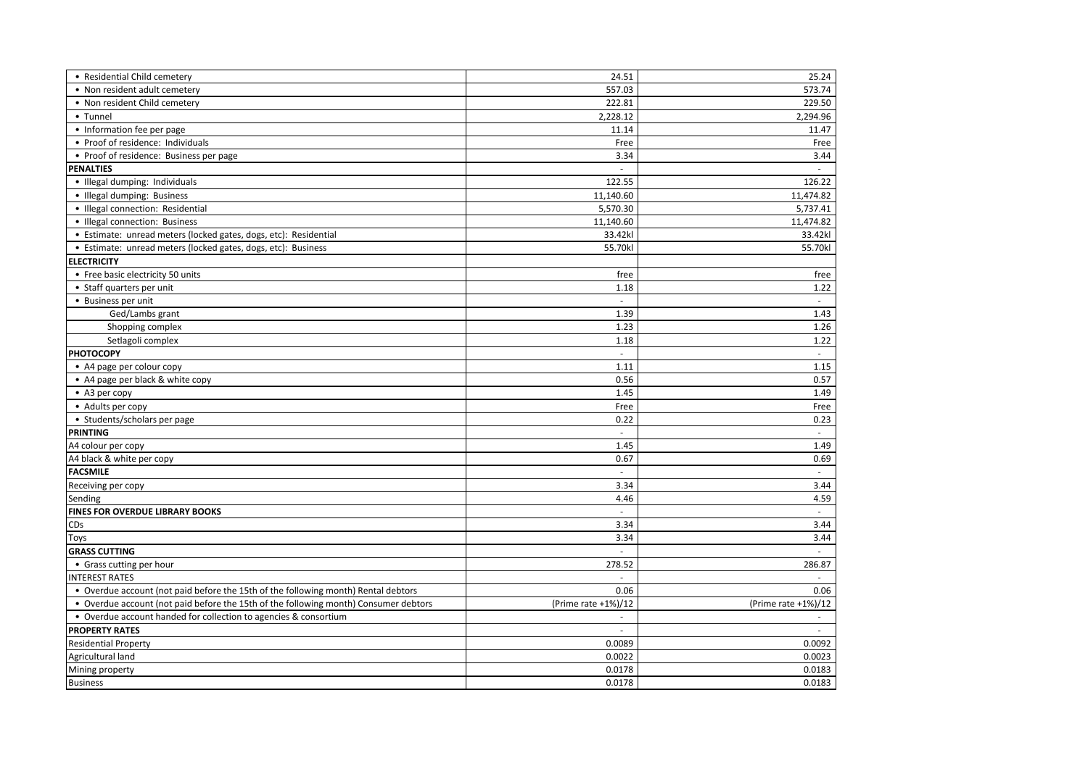| • Residential Child cemetery                                                         | 24.51               | 25.24               |
|--------------------------------------------------------------------------------------|---------------------|---------------------|
| • Non resident adult cemetery                                                        | 557.03              | 573.74              |
| • Non resident Child cemetery                                                        | 222.81              | 229.50              |
| • Tunnel                                                                             | 2,228.12            | 2,294.96            |
| • Information fee per page                                                           | 11.14               | 11.47               |
| • Proof of residence: Individuals                                                    | Free                | Free                |
| • Proof of residence: Business per page                                              | 3.34                | 3.44                |
| <b>PENALTIES</b>                                                                     |                     |                     |
| · Illegal dumping: Individuals                                                       | 122.55              | 126.22              |
| • Illegal dumping: Business                                                          | 11,140.60           | 11,474.82           |
| · Illegal connection: Residential                                                    | 5,570.30            | 5,737.41            |
| • Illegal connection: Business                                                       | 11,140.60           | 11,474.82           |
| · Estimate: unread meters (locked gates, dogs, etc): Residential                     | 33.42kl             | 33.42kl             |
| • Estimate: unread meters (locked gates, dogs, etc): Business                        | 55.70kl             | 55.70kl             |
| <b>ELECTRICITY</b>                                                                   |                     |                     |
| • Free basic electricity 50 units                                                    | free                | free                |
| • Staff quarters per unit                                                            | 1.18                | 1.22                |
| • Business per unit                                                                  | $\sim$              | $\sim$              |
| Ged/Lambs grant                                                                      | 1.39                | 1.43                |
| Shopping complex                                                                     | 1.23                | 1.26                |
| Setlagoli complex                                                                    | 1.18                | 1.22                |
| <b>PHOTOCOPY</b>                                                                     | $\omega$            | $\sim$              |
| • A4 page per colour copy                                                            | 1.11                | 1.15                |
| • A4 page per black & white copy                                                     | 0.56                | 0.57                |
| • A3 per copy                                                                        | 1.45                | 1.49                |
| • Adults per copy                                                                    | Free                | Free                |
| • Students/scholars per page                                                         | 0.22                | 0.23                |
| <b>PRINTING</b>                                                                      | $\omega$            | $\sim$              |
| A4 colour per copy                                                                   | 1.45                | 1.49                |
| A4 black & white per copy                                                            | 0.67                | 0.69                |
| <b>FACSMILE</b>                                                                      |                     | $\omega$            |
| Receiving per copy                                                                   | 3.34                | 3.44                |
| Sending                                                                              | 4.46                | 4.59                |
| FINES FOR OVERDUE LIBRARY BOOKS                                                      |                     | $\sim$              |
| CDs                                                                                  | 3.34                | 3.44                |
| Toys                                                                                 | 3.34                | 3.44                |
| <b>GRASS CUTTING</b>                                                                 | $\sim$              |                     |
| • Grass cutting per hour                                                             | 278.52              | 286.87              |
| <b>INTEREST RATES</b>                                                                |                     | $\sim$              |
| • Overdue account (not paid before the 15th of the following month) Rental debtors   | 0.06                | 0.06                |
| • Overdue account (not paid before the 15th of the following month) Consumer debtors | (Prime rate +1%)/12 | (Prime rate +1%)/12 |
| • Overdue account handed for collection to agencies & consortium                     |                     |                     |
| <b>PROPERTY RATES</b>                                                                | $\sim$              |                     |
| <b>Residential Property</b>                                                          | 0.0089              | 0.0092              |
| Agricultural land                                                                    | 0.0022              | 0.0023              |
| Mining property                                                                      | 0.0178              | 0.0183              |
| <b>Business</b>                                                                      | 0.0178              | 0.0183              |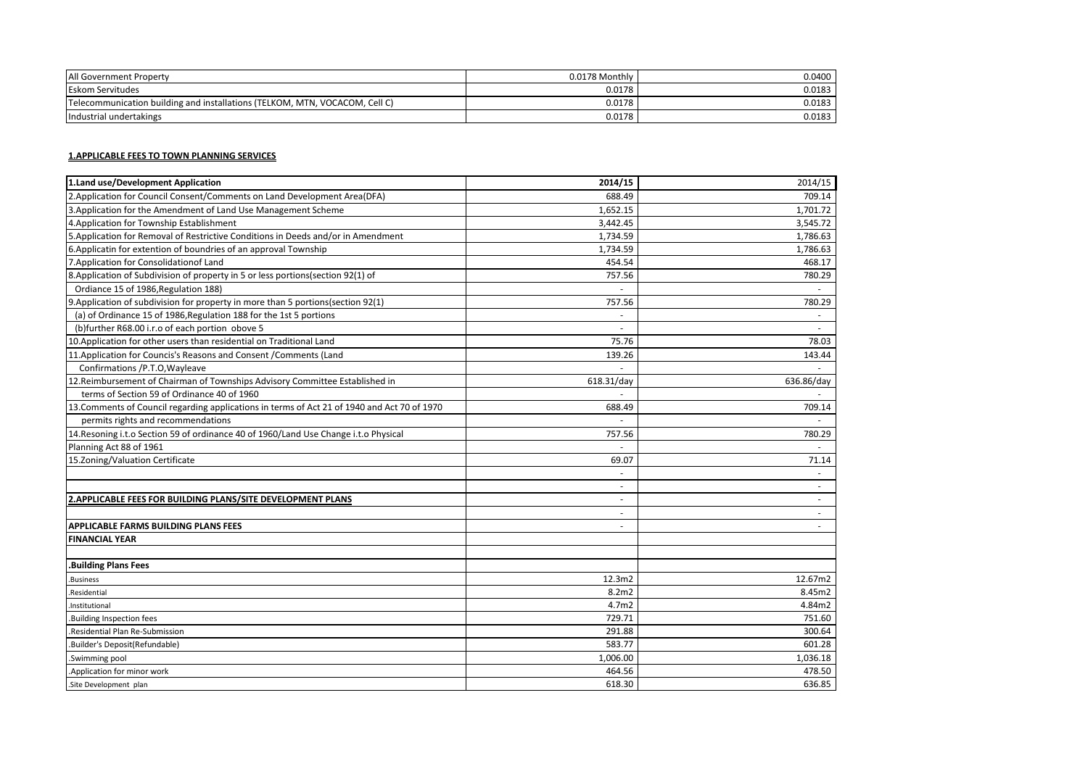| All Government Property                                                     | 0.0178 Monthly | 0.0400 |
|-----------------------------------------------------------------------------|----------------|--------|
| <b>Eskom Servitudes</b>                                                     | 0.0178         | 0.0183 |
| Telecommunication building and installations (TELKOM, MTN, VOCACOM, Cell C) | 0.0178         | 0.0183 |
| Industrial undertakings                                                     | 0.0178         | 0.0183 |

## **1.APPLICABLE FEES TO TOWN PLANNING SERVICES**

| 1.Land use/Development Application                                                           | 2014/15        | 2014/15        |
|----------------------------------------------------------------------------------------------|----------------|----------------|
| 2. Application for Council Consent/Comments on Land Development Area (DFA)                   | 688.49         | 709.14         |
| 3. Application for the Amendment of Land Use Management Scheme                               | 1,652.15       | 1,701.72       |
| 4. Application for Township Establishment                                                    | 3,442.45       | 3,545.72       |
| 5. Application for Removal of Restrictive Conditions in Deeds and/or in Amendment            | 1,734.59       | 1,786.63       |
| 6. Applicatin for extention of boundries of an approval Township                             | 1,734.59       | 1,786.63       |
| 7. Application for Consolidation of Land                                                     | 454.54         | 468.17         |
| 8. Application of Subdivision of property in 5 or less portions(section 92(1) of             | 757.56         | 780.29         |
| Ordiance 15 of 1986, Regulation 188)                                                         |                |                |
| 9. Application of subdivision for property in more than 5 portions(section 92(1)             | 757.56         | 780.29         |
| (a) of Ordinance 15 of 1986, Regulation 188 for the 1st 5 portions                           | $\blacksquare$ | $\blacksquare$ |
| (b)further R68.00 i.r.o of each portion obove 5                                              |                |                |
| 10. Application for other users than residential on Traditional Land                         | 75.76          | 78.03          |
| 11. Application for Councis's Reasons and Consent / Comments (Land                           | 139.26         | 143.44         |
| Confirmations /P.T.O, Wayleave                                                               |                |                |
| 12. Reimbursement of Chairman of Townships Advisory Committee Established in                 | 618.31/day     | 636.86/day     |
| terms of Section 59 of Ordinance 40 of 1960                                                  |                |                |
| 13. Comments of Council regarding applications in terms of Act 21 of 1940 and Act 70 of 1970 | 688.49         | 709.14         |
| permits rights and recommendations                                                           |                |                |
| 14. Resoning i.t. o Section 59 of ordinance 40 of 1960/Land Use Change i.t. o Physical       | 757.56         | 780.29         |
| Planning Act 88 of 1961                                                                      |                |                |
| 15.Zoning/Valuation Certificate                                                              | 69.07          | 71.14          |
|                                                                                              |                |                |
|                                                                                              |                |                |
| 2. APPLICABLE FEES FOR BUILDING PLANS/SITE DEVELOPMENT PLANS                                 | ٠              |                |
|                                                                                              | $\sim$         |                |
| <b>APPLICABLE FARMS BUILDING PLANS FEES</b>                                                  |                |                |
| <b>FINANCIAL YEAR</b>                                                                        |                |                |
|                                                                                              |                |                |
| <b>.Building Plans Fees</b>                                                                  |                |                |
| Business                                                                                     | 12.3m2         | 12.67m2        |
| Residential                                                                                  | 8.2m2          | 8.45m2         |
| Institutional                                                                                | 4.7m2          | 4.84m2         |
| Building Inspection fees                                                                     | 729.71         | 751.60         |
| Residential Plan Re-Submission                                                               | 291.88         | 300.64         |
| .Builder's Deposit(Refundable)                                                               | 583.77         | 601.28         |
| .Swimming pool                                                                               | 1,006.00       | 1,036.18       |
| .Application for minor work                                                                  | 464.56         | 478.50         |
| .Site Development plan                                                                       | 618.30         | 636.85         |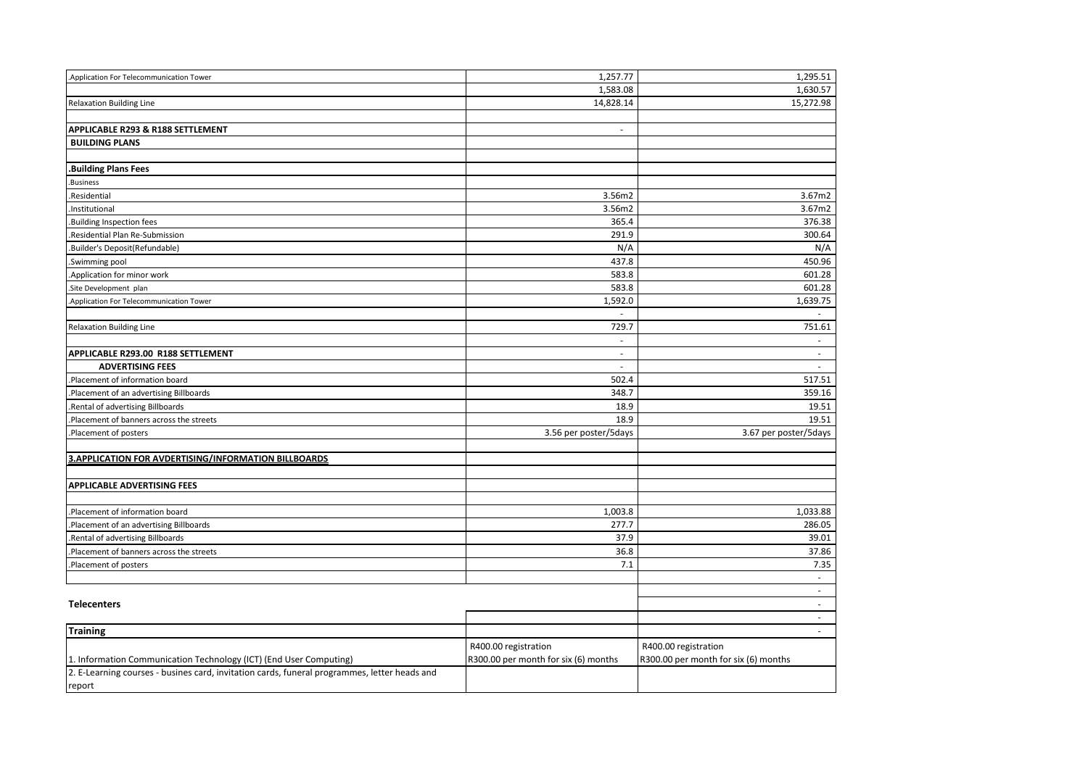| Application For Telecommunication Tower                                                      | 1,257.77                             | 1,295.51                             |
|----------------------------------------------------------------------------------------------|--------------------------------------|--------------------------------------|
|                                                                                              | 1,583.08                             | 1,630.57                             |
| <b>Relaxation Building Line</b>                                                              | 14,828.14                            | 15,272.98                            |
|                                                                                              |                                      |                                      |
| APPLICABLE R293 & R188 SETTLEMENT                                                            | $\overline{\phantom{a}}$             |                                      |
| <b>BUILDING PLANS</b>                                                                        |                                      |                                      |
|                                                                                              |                                      |                                      |
| <b>Building Plans Fees</b>                                                                   |                                      |                                      |
| .Business                                                                                    |                                      |                                      |
| Residential                                                                                  | 3.56m2                               | 3.67m2                               |
| Institutional                                                                                | 3.56m2                               | 3.67m2                               |
| Building Inspection fees                                                                     | 365.4                                | 376.38                               |
| Residential Plan Re-Submission                                                               | 291.9                                | 300.64                               |
| Builder's Deposit(Refundable)                                                                | N/A                                  | N/A                                  |
| Swimming pool                                                                                | 437.8                                | 450.96                               |
| Application for minor work                                                                   | 583.8                                | 601.28                               |
| Site Development plan                                                                        | 583.8                                | 601.28                               |
| Application For Telecommunication Tower                                                      | 1,592.0                              | 1,639.75                             |
|                                                                                              |                                      |                                      |
| <b>Relaxation Building Line</b>                                                              | 729.7                                | 751.61                               |
|                                                                                              | $\sim$                               | $\sim$                               |
| APPLICABLE R293.00 R188 SETTLEMENT                                                           | $\sim$                               | $\sim$                               |
| <b>ADVERTISING FEES</b>                                                                      | $\omega$                             | $\sim$                               |
| Placement of information board                                                               | 502.4                                | 517.51                               |
| Placement of an advertising Billboards                                                       | 348.7                                | 359.16                               |
| Rental of advertising Billboards                                                             | 18.9                                 | 19.51                                |
| Placement of banners across the streets                                                      | 18.9                                 | 19.51                                |
| Placement of posters                                                                         | 3.56 per poster/5days                | 3.67 per poster/5days                |
|                                                                                              |                                      |                                      |
| 3.APPLICATION FOR AVDERTISING/INFORMATION BILLBOARDS                                         |                                      |                                      |
|                                                                                              |                                      |                                      |
| <b>APPLICABLE ADVERTISING FEES</b>                                                           |                                      |                                      |
|                                                                                              |                                      |                                      |
| Placement of information board                                                               | 1,003.8                              | 1,033.88                             |
| Placement of an advertising Billboards                                                       | 277.7                                | 286.05                               |
| Rental of advertising Billboards                                                             | 37.9                                 | 39.01                                |
| Placement of banners across the streets                                                      | 36.8                                 | 37.86                                |
| Placement of posters                                                                         | 7.1                                  | 7.35                                 |
|                                                                                              |                                      | $\sim$                               |
|                                                                                              |                                      | $\sim$                               |
| <b>Telecenters</b>                                                                           |                                      | $\sim$                               |
|                                                                                              |                                      | $\sim$                               |
| <b>Training</b>                                                                              |                                      | $\sim$                               |
|                                                                                              | R400.00 registration                 | R400.00 registration                 |
| 1. Information Communication Technology (ICT) (End User Computing)                           | R300.00 per month for six (6) months | R300.00 per month for six (6) months |
| 2. E-Learning courses - busines card, invitation cards, funeral programmes, letter heads and |                                      |                                      |
| report                                                                                       |                                      |                                      |
|                                                                                              |                                      |                                      |